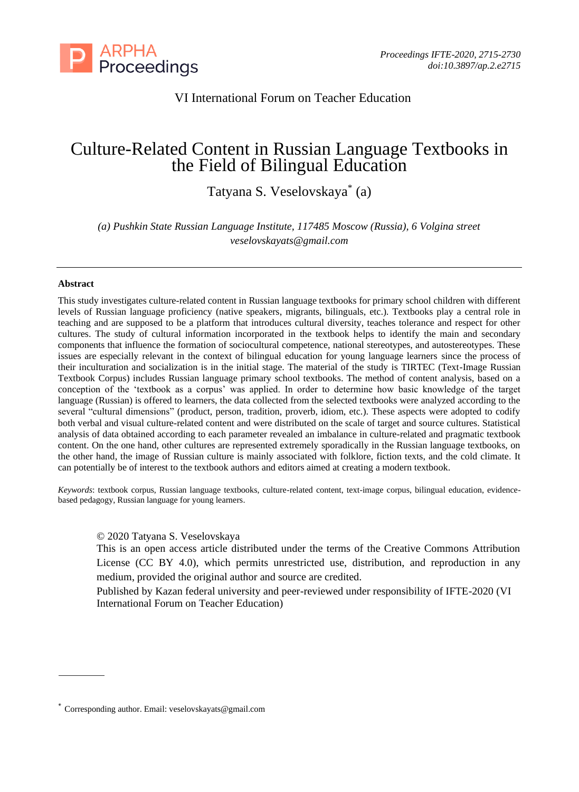

## VI International Forum on Teacher Education

# Culture-Related Content in Russian Language Textbooks in the Field of Bilingual Education

Tatyana S. Veselovskaya\* (a)

*(a) Pushkin State Russian Language Institute, 117485 Moscow (Russia), 6 Volgina street [veselovskayats@gmail.com](mailto:veselovskayats@gmail.com)*

#### **Abstract**

This study investigates culture-related content in Russian language textbooks for primary school children with different levels of Russian language proficiency (native speakers, migrants, bilinguals, etc.). Textbooks play a central role in teaching and are supposed to be a platform that introduces cultural diversity, teaches tolerance and respect for other cultures. The study of cultural information incorporated in the textbook helps to identify the main and secondary components that influence the formation of sociocultural competence, national stereotypes, and autostereotypes. These issues are especially relevant in the context of bilingual education for young language learners since the process of their inculturation and socialization is in the initial stage. The material of the study is TIRTEC (Text-Image Russian Textbook Corpus) includes Russian language primary school textbooks. The method of content analysis, based on a conception of the 'textbook as a corpus' was applied. In order to determine how basic knowledge of the target language (Russian) is offered to learners, the data collected from the selected textbooks were analyzed according to the several "cultural dimensions" (product, person, tradition, proverb, idiom, etc.). These aspects were adopted to codify both verbal and visual culture-related content and were distributed on the scale of target and source cultures. Statistical analysis of data obtained according to each parameter revealed an imbalance in culture-related and pragmatic textbook content. On the one hand, other cultures are represented extremely sporadically in the Russian language textbooks, on the other hand, the image of Russian culture is mainly associated with folklore, fiction texts, and the cold climate. It can potentially be of interest to the textbook authors and editors aimed at creating a modern textbook.

*Keywords*: textbook corpus, Russian language textbooks, culture-related content, text-image corpus, bilingual education, evidencebased pedagogy, Russian language for young learners.

© 2020 Tatyana S. Veselovskaya

This is an open access article distributed under the terms of the Creative Commons Attribution License (CC BY 4.0), which permits unrestricted use, distribution, and reproduction in any medium, provided the original author and source are credited.

Published by Kazan federal university and peer-reviewed under responsibility of IFTE-2020 (VI International Forum on Teacher Education)

<sup>\*</sup> Corresponding author. Email: veselovskayats@gmail.com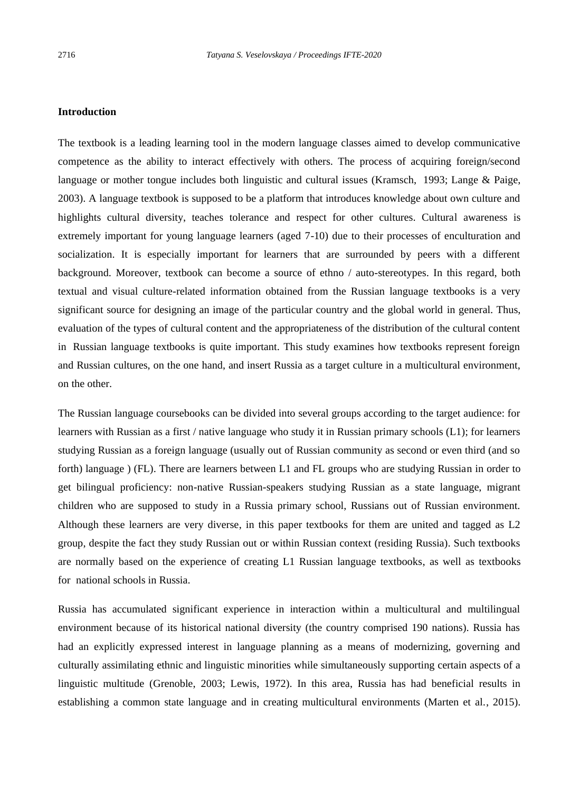## **Introduction**

The textbook is a leading learning tool in the modern language classes aimed to develop communicative competence as the ability to interact effectively with others. The process of acquiring foreign/second language or mother tongue includes both linguistic and cultural issues (Kramsch, 1993; Lange & Paige, 2003). A language textbook is supposed to be a platform that introduces knowledge about own culture and highlights cultural diversity, teaches tolerance and respect for other cultures. Cultural awareness is extremely important for young language learners (aged 7-10) due to their processes of enculturation and socialization. It is especially important for learners that are surrounded by peers with a different background. Moreover, textbook can become a source of ethno / auto-stereotypes. In this regard, both textual and visual culture-related information obtained from the Russian language textbooks is a very significant source for designing an image of the particular country and the global world in general. Thus, evaluation of the types of cultural content and the appropriateness of the distribution of the cultural content in Russian language textbooks is quite important. This study examines how textbooks represent foreign and Russian cultures, on the one hand, and insert Russia as a target culture in a multicultural environment, on the other.

The Russian language coursebooks can be divided into several groups according to the target audience: for learners with Russian as a first / native language who study it in Russian primary schools (L1); for learners studying Russian as a foreign language (usually out of Russian community as second or even third (and so forth) language ) (FL). There are learners between L1 and FL groups who are studying Russian in order to get bilingual proficiency: non-native Russian-speakers studying Russian as a state language, migrant children who are supposed to study in a Russia primary school, Russians out of Russian environment. Although these learners are very diverse, in this paper textbooks for them are united and tagged as L2 group, despite the fact they study Russian out or within Russian context (residing Russia). Such textbooks are normally based on the experience of creating L1 Russian language textbooks, as well as textbooks for national schools in Russia.

Russia has accumulated significant experience in interaction within a multicultural and multilingual environment because of its historical national diversity (the country comprised 190 nations). Russia has had an explicitly expressed interest in language planning as a means of modernizing, governing and culturally assimilating ethnic and linguistic minorities while simultaneously supporting certain aspects of a linguistic multitude (Grenoble, 2003; Lewis, 1972). In this area, Russia has had beneficial results in establishing a common state language and in creating multicultural environments (Marten et al., 2015).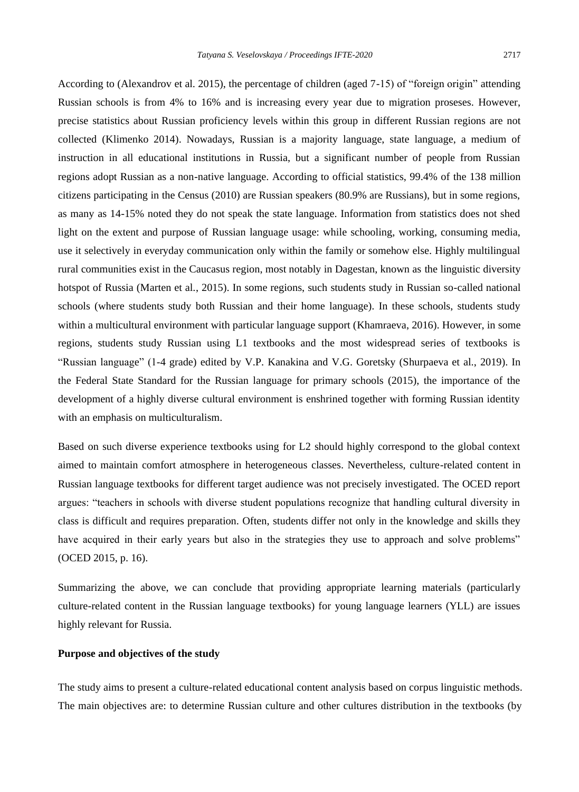According to (Alexandrov et al. 2015), the percentage of children (aged 7-15) of "foreign origin" attending Russian schools is from 4% to 16% and is increasing every year due to migration proseses. However, precise statistics about Russian proficiency levels within this group in different Russian regions are not collected (Klimenko 2014). Nowadays, Russian is a majority language, state language, a medium of instruction in all educational institutions in Russia, but a significant number of people from Russian regions adopt Russian as a non-native language. According to official statistics, 99.4% of the 138 million citizens participating in the Census (2010) are Russian speakers (80.9% are Russians), but in some regions, as many as 14-15% noted they do not speak the state language. Information from statistics does not shed light on the extent and purpose of Russian language usage: while schooling, working, consuming media, use it selectively in everyday communication only within the family or somehow else. Highly multilingual rural communities exist in the Caucasus region, most notably in Dagestan, known as the linguistic diversity hotspot of Russia (Marten et al., 2015). In some regions, such students study in Russian so-called national schools (where students study both Russian and their home language). In these schools, students study within a multicultural environment with particular language support (Khamraeva, 2016). However, in some regions, students study Russian using L1 textbooks and the most widespread series of textbooks is "Russian language" (1-4 grade) edited by V.P. Kanakina and V.G. Goretsky (Shurpaeva et al., 2019). In the Federal State Standard for the Russian language for primary schools (2015), the importance of the development of a highly diverse cultural environment is enshrined together with forming Russian identity with an emphasis on multiculturalism.

Based on such diverse experience textbooks using for L2 should highly correspond to the global context aimed to maintain comfort atmosphere in heterogeneous classes. Nevertheless, culture-related content in Russian language textbooks for different target audience was not precisely investigated. The OCED report argues: "teachers in schools with diverse student populations recognize that handling cultural diversity in class is difficult and requires preparation. Often, students differ not only in the knowledge and skills they have acquired in their early years but also in the strategies they use to approach and solve problems" (OCED 2015, p. 16).

Summarizing the above, we can conclude that providing appropriate learning materials (particularly culture-related content in the Russian language textbooks) for young language learners (YLL) are issues highly relevant for Russia.

### **Purpose and objectives of the study**

The study aims to present a culture-related educational content analysis based on corpus linguistic methods. The main objectives are: to determine Russian culture and other cultures distribution in the textbooks (by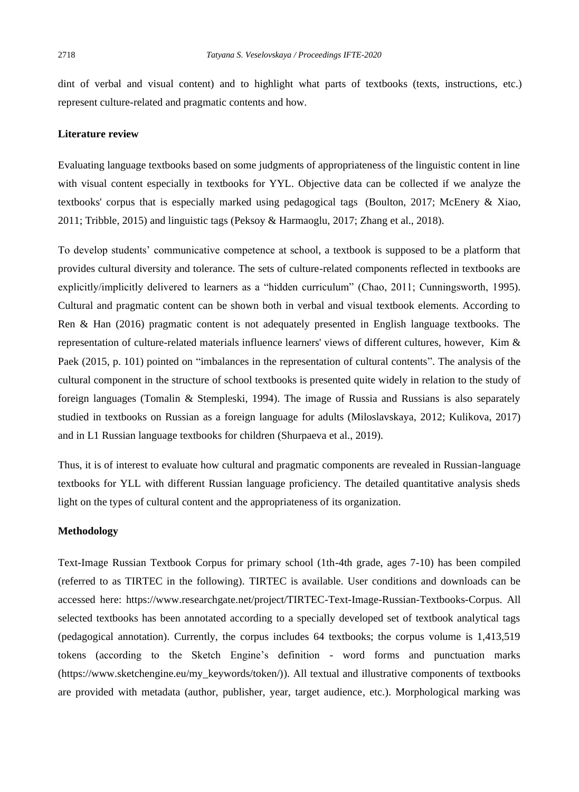dint of verbal and visual content) and to highlight what parts of textbooks (texts, instructions, etc.) represent culture-related and pragmatic contents and how.

## **Literature review**

Evaluating language textbooks based on some judgments of appropriateness of the linguistic content in line with visual content especially in textbooks for YYL. Objective data can be collected if we analyze the textbooks' corpus that is especially marked using pedagogical tags (Boulton, 2017; McEnery & Xiao, 2011; Tribble, 2015) and linguistic tags (Peksoy & Harmaoglu, 2017; Zhang et al., 2018).

To develop students' communicative competence at school, a textbook is supposed to be a platform that provides cultural diversity and tolerance. The sets of culture-related components reflected in textbooks are explicitly/implicitly delivered to learners as a "hidden curriculum" (Chao, 2011; Cunningsworth, 1995). Cultural and pragmatic content can be shown both in verbal and visual textbook elements. According to Ren & Han (2016) pragmatic content is not adequately presented in English language textbooks. The representation of culture-related materials influence learners' views of different cultures, however, Kim & Paek (2015, p. 101) pointed on "imbalances in the representation of cultural contents". The analysis of the cultural component in the structure of school textbooks is presented quite widely in relation to the study of foreign languages (Tomalin & Stempleski, 1994). The image of Russia and Russians is also separately studied in textbooks on Russian as a foreign language for adults (Miloslavskaya, 2012; Kulikova, 2017) and in L1 Russian language textbooks for children (Shurpaeva et al., 2019).

Thus, it is of interest to evaluate how cultural and pragmatic components are revealed in Russian-language textbooks for YLL with different Russian language proficiency. The detailed quantitative analysis sheds light on the types of cultural content and the appropriateness of its organization.

## **Methodology**

Text-Image Russian Textbook Corpus for primary school (1th-4th grade, ages 7-10) has been compiled (referred to as TIRTEC in the following). TIRTEC is available. User conditions and downloads can be accessed here: https://www.researchgate.net/project/TIRTEC-Text-Image-Russian-Textbooks-Corpus. All selected textbooks has been annotated according to a specially developed set of textbook analytical tags (pedagogical annotation). Currently, the corpus includes 64 textbooks; the corpus volume is 1,413,519 tokens (according to the Sketch Engine's definition - word forms and punctuation marks (https://www.sketchengine.eu/my\_keywords/token/)). All textual and illustrative components of textbooks are provided with metadata (author, publisher, year, target audience, etc.). Morphological marking was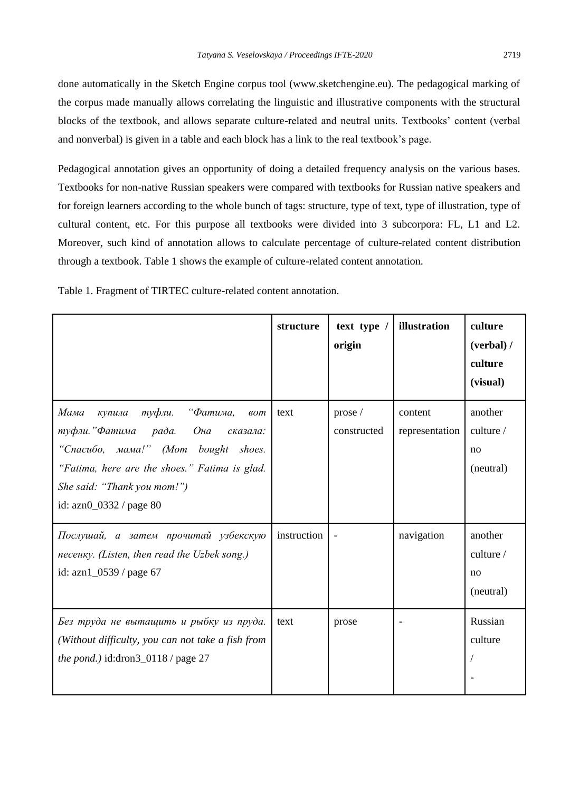done automatically in the Sketch Engine corpus tool (www.sketchengine.eu). The pedagogical marking of the corpus made manually allows correlating the linguistic and illustrative components with the structural blocks of the textbook, and allows separate culture-related and neutral units. Textbooks' content (verbal and nonverbal) is given in a table and each block has a link to the real textbook's page.

Pedagogical annotation gives an opportunity of doing a detailed frequency analysis on the various bases. Textbooks for non-native Russian speakers were compared with textbooks for Russian native speakers and for foreign learners according to the whole bunch of tags: structure, type of text, type of illustration, type of cultural content, etc. For this purpose all textbooks were divided into 3 subcorpora: FL, L1 and L2. Moreover, such kind of annotation allows to calculate percentage of culture-related content distribution through a textbook. Table 1 shows the example of culture-related content annotation.

Table 1. Fragment of TIRTEC culture-related content annotation.

|                                                                                                                                                                                                                                                    | structure   | text type /<br>origin  | illustration              | culture<br>(verbal) /<br>culture<br>(visual) |
|----------------------------------------------------------------------------------------------------------------------------------------------------------------------------------------------------------------------------------------------------|-------------|------------------------|---------------------------|----------------------------------------------|
| Мама<br>туфли.<br>"Фатима,<br>купила<br>60 <sub>m</sub><br>туфли."Фатима рада. Она<br>сказала:<br>"Cnacuõo, мама!" (Mom bought shoes.<br>"Fatima, here are the shoes." Fatima is glad.<br>She said: "Thank you mom!")<br>id: $azn0_0332 / page 80$ | text        | prose /<br>constructed | content<br>representation | another<br>culture $/$<br>no<br>(neutral)    |
| Послушай, а затем прочитай узбекскую<br>песенку. (Listen, then read the Uzbek song.)<br>id: azn1_0539 / page 67                                                                                                                                    | instruction |                        | navigation                | another<br>culture $/$<br>no<br>(neutral)    |
| Без труда не вытащить и рыбку из пруда.<br>(Without difficulty, you can not take a fish from<br>the pond.) id:dron3_0118 / page 27                                                                                                                 | text        | prose                  |                           | Russian<br>culture                           |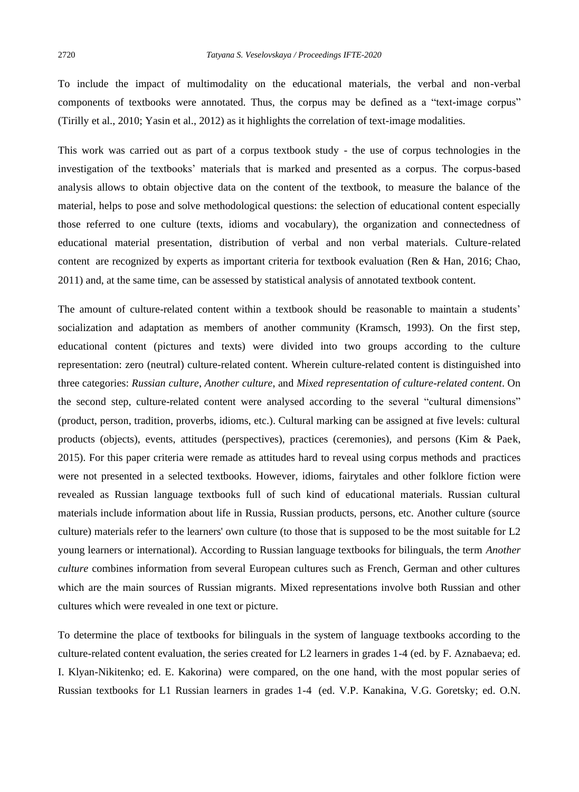To include the impact of multimodality on the educational materials, the verbal and non-verbal components of textbooks were annotated. Thus, the corpus may be defined as a "text-image corpus" (Tirilly et al., 2010; Yasin et al., 2012) as it highlights the correlation of text-image modalities.

This work was carried out as part of a corpus textbook study - the use of corpus technologies in the investigation of the textbooks' materials that is marked and presented as a corpus. The corpus-based analysis allows to obtain objective data on the content of the textbook, to measure the balance of the material, helps to pose and solve methodological questions: the selection of educational content especially those referred to one culture (texts, idioms and vocabulary), the organization and connectedness of educational material presentation, distribution of verbal and non verbal materials. Culture-related content are recognized by experts as important criteria for textbook evaluation (Ren & Han, 2016; Chao, 2011) and, at the same time, can be assessed by statistical analysis of annotated textbook content.

The amount of culture-related content within a textbook should be reasonable to maintain a students' socialization and adaptation as members of another community (Kramsch, 1993). On the first step, educational content (pictures and texts) were divided into two groups according to the culture representation: zero (neutral) culture-related content. Wherein culture-related content is distinguished into three categories: *Russian culture*, *Another culture*, and *Mixed representation of culture-related content*. On the second step, culture-related content were analysed according to the several "cultural dimensions" (product, person, tradition, proverbs, idioms, etc.). Cultural marking can be assigned at five levels: cultural products (objects), events, attitudes (perspectives), practices (ceremonies), and persons (Kim & Paek, 2015). For this paper criteria were remade as attitudes hard to reveal using corpus methods and practices were not presented in a selected textbooks. However, idioms, fairytales and other folklore fiction were revealed as Russian language textbooks full of such kind of educational materials. Russian cultural materials include information about life in Russia, Russian products, persons, etc. Another culture (source culture) materials refer to the learners' own culture (to those that is supposed to be the most suitable for L2 young learners or international). According to Russian language textbooks for bilinguals, the term *Another culture* combines information from several European cultures such as French, German and other cultures which are the main sources of Russian migrants. Mixed representations involve both Russian and other cultures which were revealed in one text or picture.

To determine the place of textbooks for bilinguals in the system of language textbooks according to the culture-related content evaluation, the series created for L2 learners in grades 1-4 (ed. by F. Aznabaeva; ed. I. Klyan-Nikitenko; ed. E. Kakorina) were compared, on the one hand, with the most popular series of Russian textbooks for L1 Russian learners in grades 1-4 (ed. V.P. Kanakina, V.G. Goretsky; ed. O.N.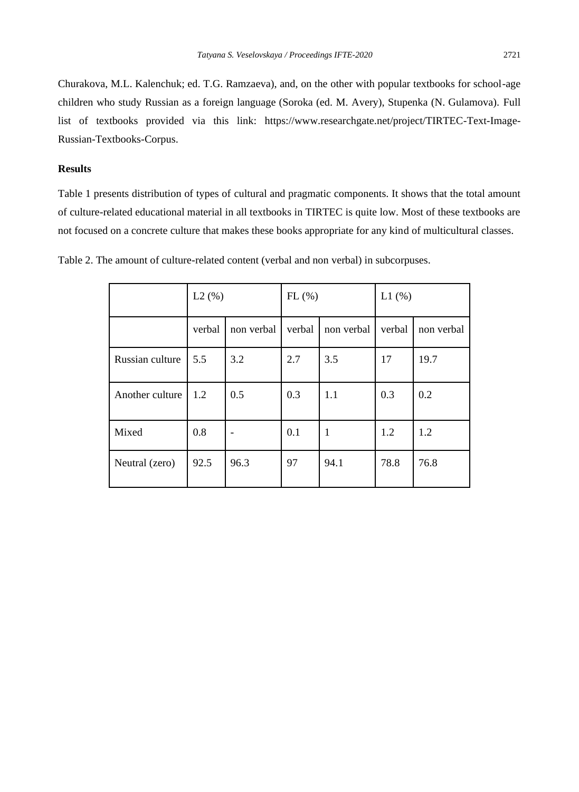Churakova, M.L. Kalenchuk; ed. T.G. Ramzaeva), and, on the other with popular textbooks for school-age children who study Russian as a foreign language (Soroka (ed. M. Avery), Stupenka (N. Gulamova). Full list of textbooks provided via this link: [https://www.researchgate.net/project/TIRTEC-Text-Image-](https://www.researchgate.net/project/TIRTEC-Text-Image-Russian-Textbooks-Corpus)[Russian-Textbooks-Corpus.](https://www.researchgate.net/project/TIRTEC-Text-Image-Russian-Textbooks-Corpus)

## **Results**

Table 1 presents distribution of types of cultural and pragmatic components. It shows that the total amount of culture-related educational material in all textbooks in TIRTEC is quite low. Most of these textbooks are not focused on a concrete culture that makes these books appropriate for any kind of multicultural classes.

|                 | L2(%)  |            | FL(%)  |            | L1(%)  |            |
|-----------------|--------|------------|--------|------------|--------|------------|
|                 | verbal | non verbal | verbal | non verbal | verbal | non verbal |
| Russian culture | 5.5    | 3.2        | 2.7    | 3.5        | 17     | 19.7       |
| Another culture | 1.2    | 0.5        | 0.3    | 1.1        | 0.3    | 0.2        |
| Mixed           | 0.8    |            | 0.1    | 1          | 1.2    | 1.2        |
| Neutral (zero)  | 92.5   | 96.3       | 97     | 94.1       | 78.8   | 76.8       |

Table 2. The amount of culture-related content (verbal and non verbal) in subcorpuses.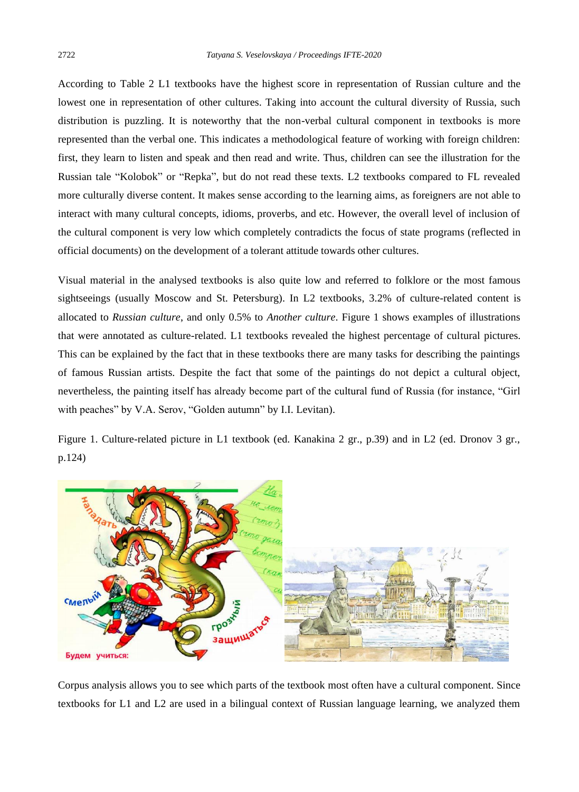According to Table 2 L1 textbooks have the highest score in representation of Russian culture and the lowest one in representation of other cultures. Taking into account the cultural diversity of Russia, such distribution is puzzling. It is noteworthy that the non-verbal cultural component in textbooks is more represented than the verbal one. This indicates a methodological feature of working with foreign children: first, they learn to listen and speak and then read and write. Thus, children can see the illustration for the Russian tale "Kolobok" or "Repka", but do not read these texts. L2 textbooks compared to FL revealed more culturally diverse content. It makes sense according to the learning aims, as foreigners are not able to interact with many cultural concepts, idioms, proverbs, and etc. However, the overall level of inclusion of the cultural component is very low which completely contradicts the focus of state programs (reflected in official documents) on the development of a tolerant attitude towards other cultures.

Visual material in the analysed textbooks is also quite low and referred to folklore or the most famous sightseeings (usually Moscow and St. Petersburg). In L2 textbooks, 3.2% of culture-related content is allocated to *Russian culture*, and only 0.5% to *Another culture*. Figure 1 shows examples of illustrations that were annotated as culture-related. L1 textbooks revealed the highest percentage of cultural pictures. This can be explained by the fact that in these textbooks there are many tasks for describing the paintings of famous Russian artists. Despite the fact that some of the paintings do not depict a cultural object, nevertheless, the painting itself has already become part of the cultural fund of Russia (for instance, "Girl with peaches" by V.A. Serov, "Golden autumn" by I.I. Levitan).

Figure 1. Culture-related picture in L1 textbook (ed. Kanakina 2 gr., p.39) and in L2 (ed. Dronov 3 gr., p.124)



Corpus analysis allows you to see which parts of the textbook most often have a cultural component. Since textbooks for L1 and L2 are used in a bilingual context of Russian language learning, we analyzed them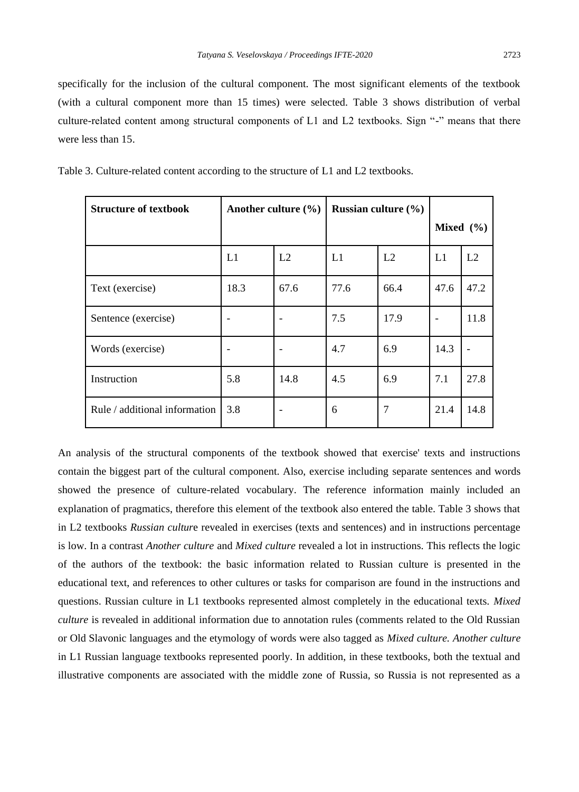specifically for the inclusion of the cultural component. The most significant elements of the textbook (with a cultural component more than 15 times) were selected. Table 3 shows distribution of verbal culture-related content among structural components of L1 and L2 textbooks. Sign "-" means that there were less than 15.

| <b>Structure of textbook</b>  | Another culture $(\% )$ |      | Russian culture $(\% )$ |      |               |                |
|-------------------------------|-------------------------|------|-------------------------|------|---------------|----------------|
|                               |                         |      |                         |      | Mixed $(\% )$ |                |
|                               | L1                      | L2   | L1                      | L2   | L1            | L <sub>2</sub> |
| Text (exercise)               | 18.3                    | 67.6 | 77.6                    | 66.4 | 47.6          | 47.2           |
| Sentence (exercise)           |                         |      | 7.5                     | 17.9 |               | 11.8           |
| Words (exercise)              |                         |      | 4.7                     | 6.9  | 14.3          |                |
| Instruction                   | 5.8                     | 14.8 | 4.5                     | 6.9  | 7.1           | 27.8           |
| Rule / additional information | 3.8                     |      | 6                       |      | 21.4          | 14.8           |

Table 3. Culture-related content according to the structure of L1 and L2 textbooks.

An analysis of the structural components of the textbook showed that exercise' texts and instructions contain the biggest part of the cultural component. Also, exercise including separate sentences and words showed the presence of culture-related vocabulary. The reference information mainly included an explanation of pragmatics, therefore this element of the textbook also entered the table. Table 3 shows that in L2 textbooks *Russian cultur*e revealed in exercises (texts and sentences) and in instructions percentage is low. In a contrast *Another culture* and *Mixed culture* revealed a lot in instructions. This reflects the logic of the authors of the textbook: the basic information related to Russian culture is presented in the educational text, and references to other cultures or tasks for comparison are found in the instructions and questions. Russian culture in L1 textbooks represented almost completely in the educational texts. *Mixed culture* is revealed in additional information due to annotation rules (comments related to the Old Russian or Old Slavonic languages and the etymology of words were also tagged as *Mixed culture. Another culture* in L1 Russian language textbooks represented poorly. In addition, in these textbooks, both the textual and illustrative components are associated with the middle zone of Russia, so Russia is not represented as a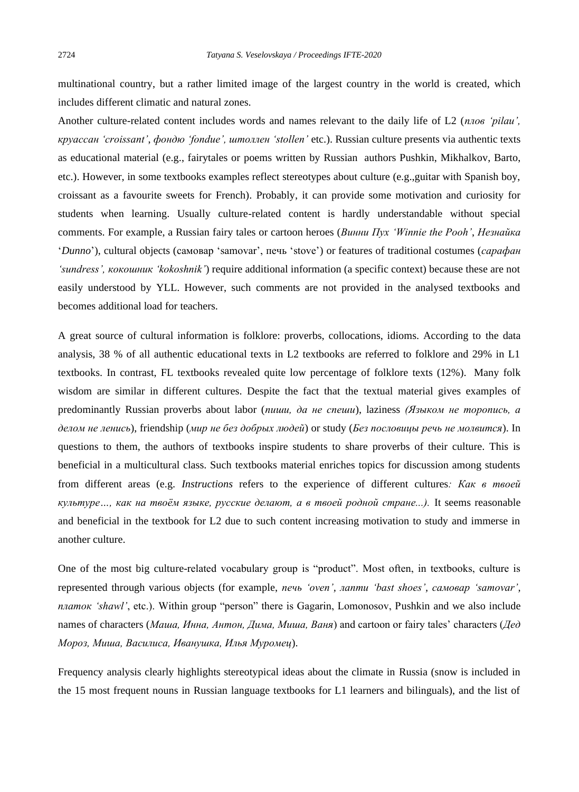multinational country, but a rather limited image of the largest country in the world is created, which includes different climatic and natural zones.

Another culture-related content includes words and names relevant to the daily life of L2 (*плов 'pilau', круассан 'croissant'*, *фондю 'fondue', штоллен 'stollen'* etc.). Russian culture presents via authentic texts as educational material (e.g., fairytales or poems written by Russian authors Pushkin, Mikhalkov, Barto, etc.). However, in some textbooks examples reflect stereotypes about culture (e.g.,guitar with Spanish boy, croissant as a favourite sweets for French). Probably, it can provide some motivation and curiosity for students when learning. Usually culture-related content is hardly understandable without special comments. For example, a Russian fairy tales or cartoon heroes (*Винни Пух 'Winnie the Pooh'*, *Незнайка* '*Dunno*'), cultural objects (самовар 'samovar', печь 'stove') or features of traditional costumes (*сарафан 'sundress', кокошник 'kokoshnik'*) require additional information (a specific context) because these are not easily understood by YLL. However, such comments are not provided in the analysed textbooks and becomes additional load for teachers.

A great source of cultural information is folklore: proverbs, collocations, idioms. According to the data analysis, 38 % of all authentic educational texts in L2 textbooks are referred to folklore and 29% in L1 textbooks. In contrast, FL textbooks revealed quite low percentage of folklore texts (12%). Many folk wisdom are similar in different cultures. Despite the fact that the textual material gives examples of predominantly Russian proverbs about labor (*пиши, да не спеши*), laziness *(Языком не торопись, а делом не ленись*), friendship (*мир не без добрых людей*) or study (*Без пословицы речь не молвится*). In questions to them, the authors of textbooks inspire students to share proverbs of their culture. This is beneficial in a multicultural class. Such textbooks material enriches topics for discussion among students from different areas (e.g. *Instructions* refers to the experience of different cultures*: Как в твоей культуре…, как на твоём языке, русские делают, а в твоей родной стране...).* It seems reasonable and beneficial in the textbook for L2 due to such content increasing motivation to study and immerse in another culture.

One of the most big culture-related vocabulary group is "product". Most often, in textbooks, culture is represented through various objects (for example, *печь 'oven', лапти 'bast shoes', самовар 'samovar', платок 'shawl'*, etc.). Within group "person" there is Gagarin, Lomonosov, Pushkin and we also include names of characters (*Маша, Инна, Антон, Дима, Миша, Ваня*) and cartoon or fairy tales' characters (*Дед Мороз, Миша, Василиса, Иванушка, Илья Муромец*).

Frequency analysis clearly highlights stereotypical ideas about the climate in Russia (snow is included in the 15 most frequent nouns in Russian language textbooks for L1 learners and bilinguals), and the list of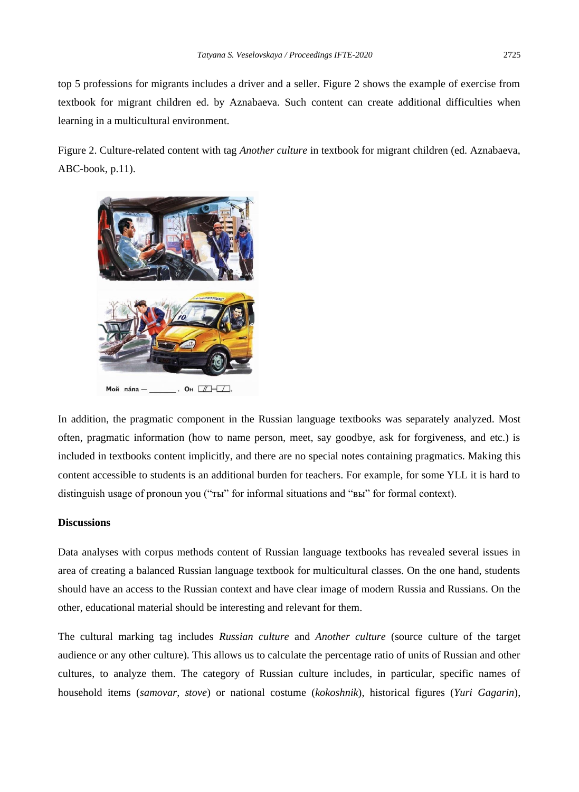top 5 professions for migrants includes a driver and a seller. Figure 2 shows the example of exercise from textbook for migrant children ed. by Aznabaeva. Such content can create additional difficulties when learning in a multicultural environment.

Figure 2. Culture-related content with tag *Another culture* in textbook for migrant children (ed. Aznabaeva, ABC-book, p.11).



In addition, the pragmatic component in the Russian language textbooks was separately analyzed. Most often, pragmatic information (how to name person, meet, say goodbye, ask for forgiveness, and etc.) is included in textbooks content implicitly, and there are no special notes containing pragmatics. Making this content accessible to students is an additional burden for teachers. For example, for some YLL it is hard to distinguish usage of pronoun you ("ты" for informal situations and "вы" for formal context).

#### **Discussions**

Data analyses with corpus methods content of Russian language textbooks has revealed several issues in area of creating a balanced Russian language textbook for multicultural classes. On the one hand, students should have an access to the Russian context and have clear image of modern Russia and Russians. On the other, educational material should be interesting and relevant for them.

The cultural marking tag includes *Russian culture* and *Another culture* (source culture of the target audience or any other culture). This allows us to calculate the percentage ratio of units of Russian and other cultures, to analyze them. The category of Russian culture includes, in particular, specific names of household items (*samovar, stove*) or national costume (*kokoshnik*), historical figures (*Yuri Gagarin*),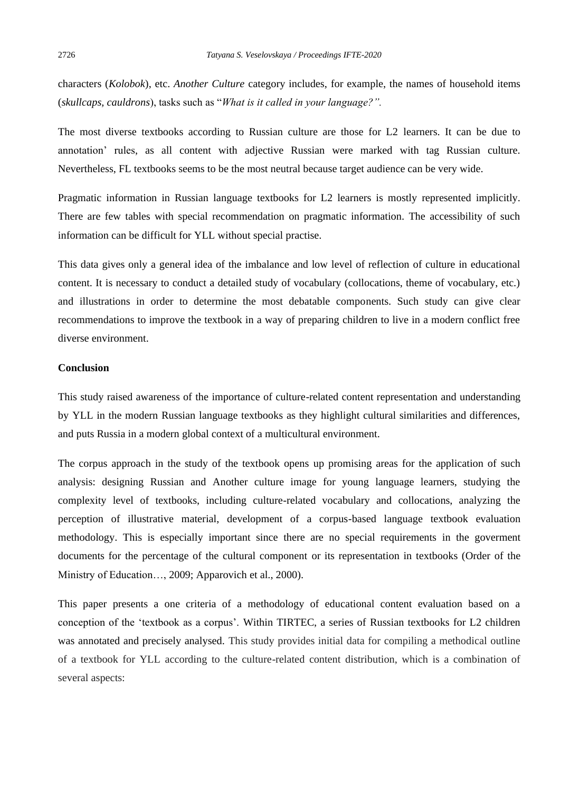characters (*Kolobok*), etc. *Another Culture* category includes, for example, the names of household items (*skullcaps, cauldrons*), tasks such as "*What is it called in your language?".*

The most diverse textbooks according to Russian culture are those for L2 learners. It can be due to annotation' rules, as all content with adjective Russian were marked with tag Russian culture. Nevertheless, FL textbooks seems to be the most neutral because target audience can be very wide.

Pragmatic information in Russian language textbooks for L2 learners is mostly represented implicitly. There are few tables with special recommendation on pragmatic information. The accessibility of such information can be difficult for YLL without special practise.

This data gives only a general idea of the imbalance and low level of reflection of culture in educational content. It is necessary to conduct a detailed study of vocabulary (collocations, theme of vocabulary, etc.) and illustrations in order to determine the most debatable components. Such study can give clear recommendations to improve the textbook in a way of preparing children to live in a modern conflict free diverse environment.

## **Conclusion**

This study raised awareness of the importance of culture-related content representation and understanding by YLL in the modern Russian language textbooks as they highlight cultural similarities and differences, and puts Russia in a modern global context of a multicultural environment.

The corpus approach in the study of the textbook opens up promising areas for the application of such analysis: designing Russian and Another culture image for young language learners, studying the complexity level of textbooks, including culture-related vocabulary and collocations, analyzing the perception of illustrative material, development of a corpus-based language textbook evaluation methodology. This is especially important since there are no special requirements in the goverment documents for the percentage of the cultural component or its representation in textbooks (Order of the Ministry of Education…, 2009; Apparovich et al., 2000).

This paper presents a one criteria of a methodology of educational content evaluation based on a conception of the 'textbook as a corpus'. Within TIRTEC, a series of Russian textbooks for L2 children was annotated and precisely analysed. This study provides initial data for compiling a methodical outline of a textbook for YLL according to the culture-related content distribution, which is a combination of several aspects: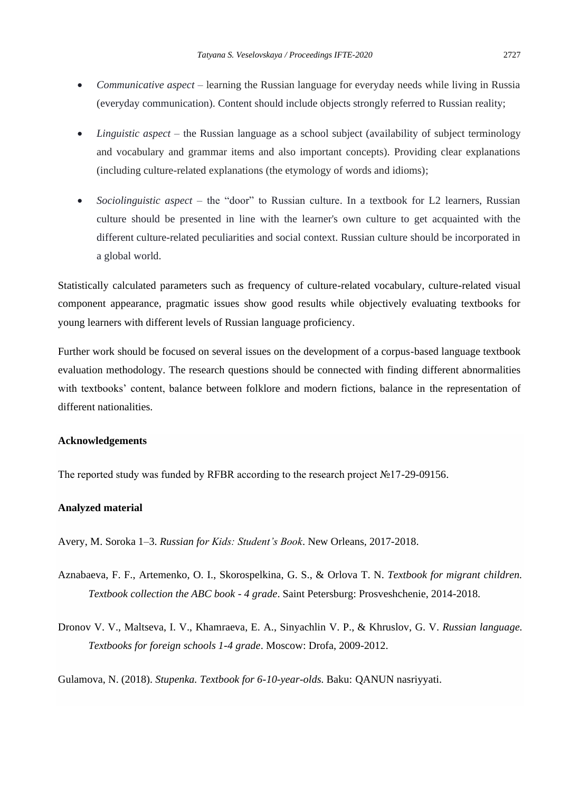- *Communicative aspect*  learning the Russian language for everyday needs while living in Russia (everyday communication). Content should include objects strongly referred to Russian reality;
- *Linguistic aspect* the Russian language as a school subject (availability of subject terminology and vocabulary and grammar items and also important concepts). Providing clear explanations (including culture-related explanations (the etymology of words and idioms);
- *Sociolinguistic aspect* the "door" to Russian culture. In a textbook for L2 learners, Russian culture should be presented in line with the learner's own culture to get acquainted with the different culture-related peculiarities and social context. Russian culture should be incorporated in a global world.

Statistically calculated parameters such as frequency of culture-related vocabulary, culture-related visual component appearance, pragmatic issues show good results while objectively evaluating textbooks for young learners with different levels of Russian language proficiency.

Further work should be focused on several issues on the development of a corpus-based language textbook evaluation methodology. The research questions should be connected with finding different abnormalities with textbooks' content, balance between folklore and modern fictions, balance in the representation of different nationalities.

### **Acknowledgements**

The reported study was funded by RFBR according to the research project №17-29-09156.

### **Analyzed material**

Avery, M. Soroka 1–3. *Russian for Kids: Student's Book*. New Orleans, 2017-2018.

- Aznabaeva, F. F., Artemenko, O. I., Skorospelkina, G. S., & Orlova T. N. *Textbook for migrant children. Textbook collection the ABC book - 4 grade*. Saint Petersburg: Prosveshchenie, 2014-2018.
- Dronov V. V., Maltseva, I. V., Khamraeva, E. A., Sinyachlin V. P., & Khruslov, G. V. *Russian language. Textbooks for foreign schools 1-4 grade*. Moscow: Drofa, 2009-2012.

Gulamova, N. (2018). *Stupenka. Textbook for 6-10-year-olds*. Baku: QANUN nasriyyati.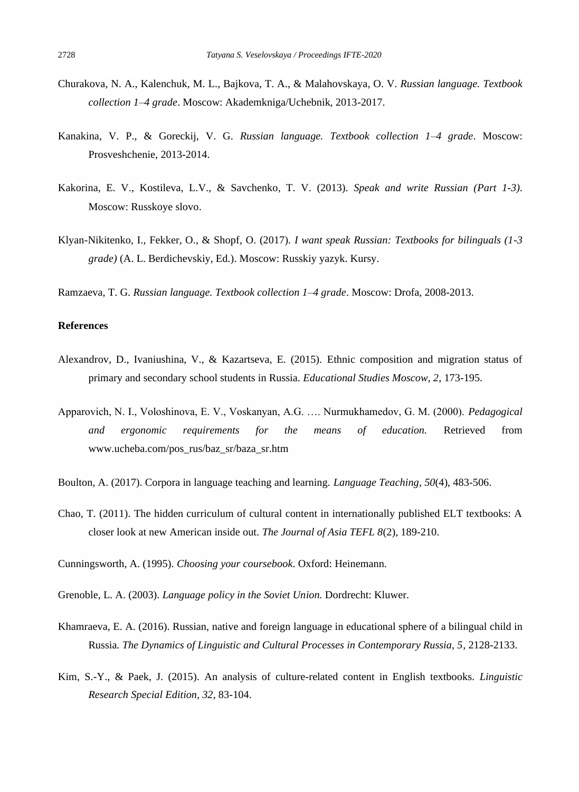- Churakova, N. A., Kalenchuk, M. L., Bajkova, T. A., & Malahovskaya, O. V. *Russian language. Textbook collection 1–4 grade*. Moscow: Akademkniga/Uchebnik, 2013-2017.
- Kanakina, V. P., & Goreckij, V. G. *Russian language. Textbook collection 1–4 grade*. Moscow: Prosveshchenie, 2013-2014.
- Kakorina, E. V., Kostileva, L.V., & Savchenko, T. V. (2013). *Speak and write Russian (Part 1-3)*. Moscow: Russkoye slovo.
- Klyan-Nikitenko, I., Fekker, O., & Shopf, O. (2017). *I want speak Russian: Textbooks for bilinguals (1-3 grade)* (A. L. Berdichevskiy, Ed.). Moscow: Russkiy yazyk. Kursy.
- Ramzaeva, T. G. *Russian language. Textbook collection 1–4 grade*. Moscow: Drofa, 2008-2013.

## **References**

- Alexandrov, D., Ivaniushina, V., & Kazartseva, E. (2015). Ethnic composition and migration status of primary and secondary school students in Russia. *Educational Studies Moscow, 2*, 173-195.
- Apparovich, N. I., Voloshinova, E. V., Voskanyan, A.G. …. Nurmukhamedov, G. M. (2000). *Pedagogical and ergonomic requirements for the means of education.* Retrieved from [www.ucheba.com/pos\\_rus/baz\\_sr/baza\\_sr.htm](http://www.ucheba.com/pos_rus/baz_sr/baza_sr.htm)
- Boulton, A. (2017). Corpora in language teaching and learning. *Language Teaching*, *50*(4), 483-506.
- Chao, T. (2011). The hidden curriculum of cultural content in internationally published ELT textbooks: A closer look at new American inside out. *The Journal of Asia TEFL 8*(2), 189-210.

Cunningsworth, A. (1995). *Choosing your coursebook*. Oxford: Heinemann.

- Grenoble, L. A. (2003). *Language policy in the Soviet Union.* Dordrecht: Kluwer.
- Khamraeva, E. A. (2016). Russian, native and foreign language in educational sphere of a bilingual child in Russia*. The Dynamics of Linguistic and Cultural Processes in Contemporary Russia, 5*, 2128-2133.
- Kim, S.-Y., & Paek, J. (2015). An analysis of culture-related content in English textbooks*. Linguistic Research Special Edition, 32*, 83-104.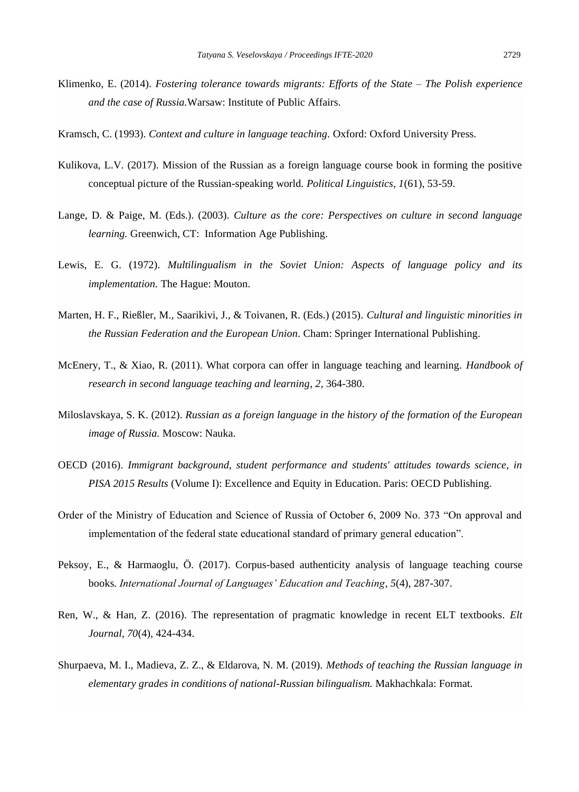- Klimenko, E. (2014). *Fostering tolerance towards migrants: Efforts of the State – The Polish experience and the case of Russia.*Warsaw: Institute of Public Affairs.
- Kramsch, C. (1993). *Context and culture in language teaching.* Oxford: Oxford University Press.
- Kulikova, L.V. (2017). Mission of the Russian as a foreign language course book in forming the positive conceptual picture of the Russian-speaking world*. Political Linguistics, 1*(61), 53-59.
- Lange, D. & Paige, M. (Eds.). (2003). *Culture as the core: Perspectives on culture in second language learning.* Greenwich, CT: Information Age Publishing.
- Lewis, E. G. (1972). *Multilingualism in the Soviet Union: Aspects of language policy and its implementation.* The Hague: Mouton.
- Marten, H. F., Rießler, M., Saarikivi, J., & Toivanen, R. (Eds.) (2015). *Cultural and linguistic minorities in the Russian Federation and the European Union.* Cham: Springer International Publishing.
- McEnery, T., & Xiao, R. (2011). What corpora can offer in language teaching and learning. *Handbook of research in second language teaching and learning*, *2*, 364-380.
- Miloslavskaya, S. K. (2012). *Russian as a foreign language in the history of the formation of the European image of Russia.* Moscow: Nauka.
- OECD (2016). *Immigrant background, student performance and students' attitudes towards science, in PISA 2015 Results* (Volume I): Excellence and Equity in Education. Paris: OECD Publishing.
- Order of the Ministry of Education and Science of Russia of October 6, 2009 No. 373 "On approval and implementation of the federal state educational standard of primary general education".
- Peksoy, E., & Harmaoglu, Ö. (2017). Corpus-based authenticity analysis of language teaching course books*. International Journal of Languages' Education and Teaching, 5*(4), 287-307.
- Ren, W., & Han, Z. (2016). The representation of pragmatic knowledge in recent ELT textbooks*. Elt Journal, 70*(4), 424-434.
- Shurpaeva, M. I., Madieva, Z. Z., & Eldarova, N. M. (2019). *Methods of teaching the Russian language in elementary grades in conditions of national-Russian bilingualism.* Makhachkala: Format.